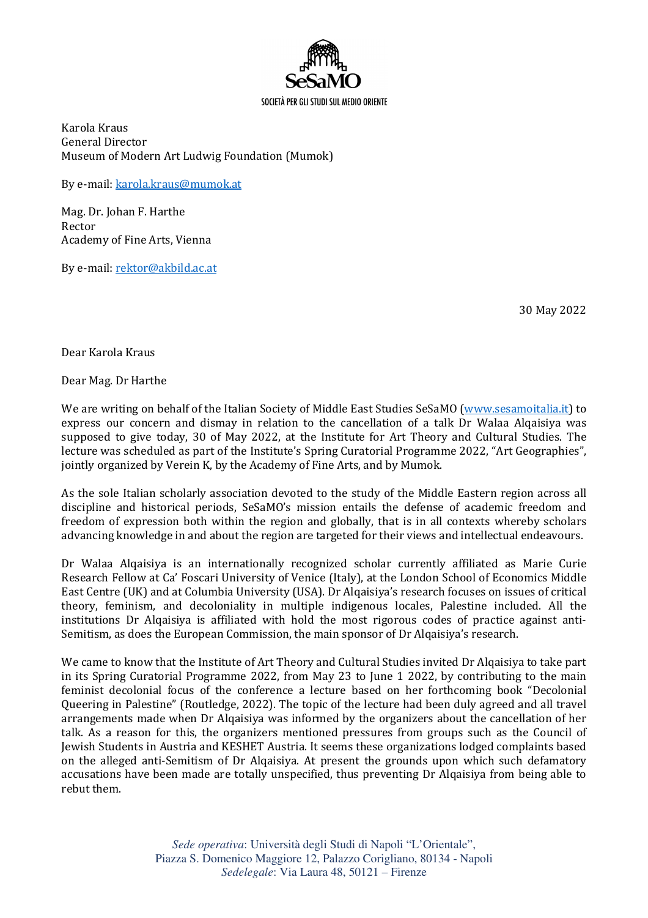

Karola Kraus General Director Museum of Modern Art Ludwig Foundation (Mumok)

By e-mail: karola.kraus@mumok.at

Mag. Dr. Johan F. Harthe Rector Academy of Fine Arts, Vienna

By e-mail: rektor@akbild.ac.at

30 May 2022

Dear Karola Kraus

Dear Mag. Dr Harthe

We are writing on behalf of the Italian Society of Middle East Studies SeSaMO (www.sesamoitalia.it) to express our concern and dismay in relation to the cancellation of a talk Dr Walaa Alqaisiya was supposed to give today, 30 of May 2022, at the Institute for Art Theory and Cultural Studies. The lecture was scheduled as part of the Institute's Spring Curatorial Programme 2022, "Art Geographies", jointly organized by Verein K, by the Academy of Fine Arts, and by Mumok.

As the sole Italian scholarly association devoted to the study of the Middle Eastern region across all discipline and historical periods, SeSaMO's mission entails the defense of academic freedom and freedom of expression both within the region and globally, that is in all contexts whereby scholars advancing knowledge in and about the region are targeted for their views and intellectual endeavours.

Dr Walaa Alqaisiya is an internationally recognized scholar currently affiliated as Marie Curie Research Fellow at Ca' Foscari University of Venice (Italy), at the London School of Economics Middle East Centre (UK) and at Columbia University (USA). Dr Alqaisiya's research focuses on issues of critical theory, feminism, and decoloniality in multiple indigenous locales, Palestine included. All the institutions Dr Alqaisiya is affiliated with hold the most rigorous codes of practice against anti-Semitism, as does the European Commission, the main sponsor of Dr Alqaisiya's research.

We came to know that the Institute of Art Theory and Cultural Studies invited Dr Alqaisiya to take part in its Spring Curatorial Programme 2022, from May 23 to June 1 2022, by contributing to the main feminist decolonial focus of the conference a lecture based on her forthcoming book "Decolonial Queering in Palestine" (Routledge, 2022). The topic of the lecture had been duly agreed and all travel arrangements made when Dr Alqaisiya was informed by the organizers about the cancellation of her talk. As a reason for this, the organizers mentioned pressures from groups such as the Council of Jewish Students in Austria and KESHET Austria. It seems these organizations lodged complaints based on the alleged anti-Semitism of Dr Alqaisiya. At present the grounds upon which such defamatory accusations have been made are totally unspecified, thus preventing Dr Alqaisiya from being able to rebut them.